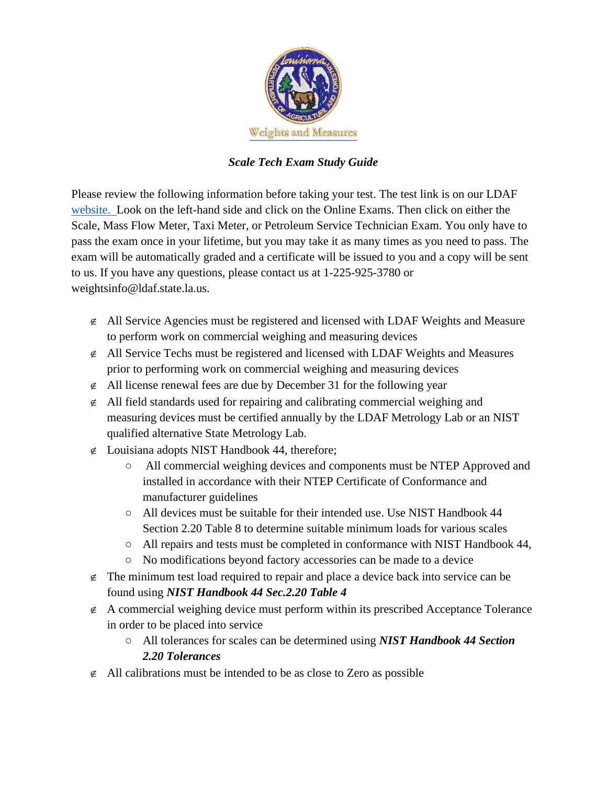

## *Scale Tech Exam Study Guide*

Please review the following information before taking your test. The test link is on our LDAF [website.](https://www.ldaf.state.la.us/consumers/consumer-protection-weights-and-measures/) Look on the left-hand side and click on the Online Exams. Then click on either the Scale, Mass Flow Meter, Taxi Meter, or Petroleum Service Technician Exam. You only have to pass the exam once in your lifetime, but you may take it as many times as you need to pass. The exam will be automatically graded and a certificate will be issued to you and a copy will be sent to us. If you have any questions, please contact us at 1-225-925-3780 or weightsinfo@ldaf.state.la.us.

- $\epsilon$  All Service Agencies must be registered and licensed with LDAF Weights and Measure to perform work on commercial weighing and measuring devices
- $\neq$  All Service Techs must be registered and licensed with LDAF Weights and Measures prior to performing work on commercial weighing and measuring devices
- $\neq$  All license renewal fees are due by December 31 for the following year
- $\epsilon$  All field standards used for repairing and calibrating commercial weighing and measuring devices must be certified annually by the LDAF Metrology Lab or an NIST qualified alternative State Metrology Lab.
- $\epsilon$  Louisiana adopts NIST Handbook 44, therefore;
	- All commercial weighing devices and components must be NTEP Approved and installed in accordance with their NTEP Certificate of Conformance and manufacturer guidelines
	- $\circ$  All devices must be suitable for their intended use. Use NIST Handbook 44 Section 2.20 Table 8 to determine suitable minimum loads for various scales
	- All repairs and tests must be completed in conformance with NIST Handbook 44,
	- No modifications beyond factory accessories can be made to a device
- $\epsilon$  The minimum test load required to repair and place a device back into service can be found using *NIST Handbook 44 Sec.2.20 Table 4*
- $\epsilon$  A commercial weighing device must perform within its prescribed Acceptance Tolerance in order to be placed into service
	- All tolerances for scales can be determined using *NIST Handbook 44 Section 2.20 Tolerances*
- $\notin$  All calibrations must be intended to be as close to Zero as possible